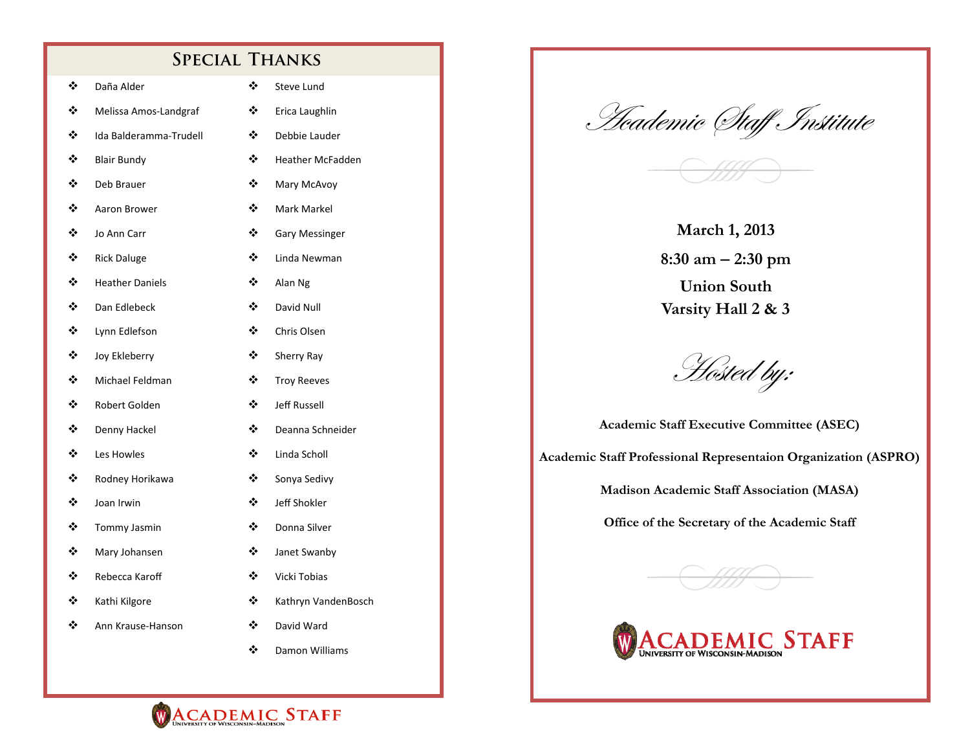### **Special Thanks**

| ❖ | Daña Alder             | ❖ | Steve Lund              |
|---|------------------------|---|-------------------------|
| ❖ | Melissa Amos-Landgraf  | ❖ | Erica Laughlin          |
| ❖ | Ida Balderamma-Trudell | ❖ | Debbie Lauder           |
| ❖ | <b>Blair Bundy</b>     | ❖ | <b>Heather McFadden</b> |
| ❖ | Deb Brauer             | ❖ | Mary McAvoy             |
| ❖ | Aaron Brower           | ❖ | Mark Markel             |
| ❖ | Jo Ann Carr            | ❖ | <b>Gary Messinger</b>   |
| ❖ | <b>Rick Daluge</b>     | ❖ | Linda Newman            |
| ❖ | <b>Heather Daniels</b> | ❖ | Alan Ng                 |
| ❖ | Dan Edlebeck           | ❖ | David Null              |
| ❖ | Lynn Edlefson          | ❖ | Chris Olsen             |
| ❖ | Joy Ekleberry          | ❖ | Sherry Ray              |
| ❖ | Michael Feldman        | ❖ | <b>Troy Reeves</b>      |
| ❖ | Robert Golden          | ❖ | <b>Jeff Russell</b>     |
| ❖ | Denny Hackel           | ❖ | Deanna Schneider        |
| ❖ | Les Howles             | ❖ | Linda Scholl            |
| ❖ | Rodney Horikawa        | ❖ | Sonya Sedivy            |
| ❖ | Joan Irwin             | ❖ | Jeff Shokler            |
| ❖ | Tommy Jasmin           | ❖ | Donna Silver            |
| ❖ | Mary Johansen          | ❖ | Janet Swanby            |
| ❖ | Rebecca Karoff         | ❖ | Vicki Tobias            |
| ❖ | Kathi Kilgore          | ❖ | Kathryn VandenBosch     |
| ❖ | Ann Krause-Hanson      | ❖ | David Ward              |
|   |                        | ❖ | Damon Williams          |

<u>H</u>eademic (Itaff Institute



**March 1, 2013 8:30 am 2:30 pm Union South Varsity Hall 2 & 3** 

Hosted by:

**Academic Staff Executive Committee (ASEC) Academic Staff Professional Representaion Organization (ASPRO)** 

**Madison Academic Staff Association (MASA)** 

**Office of the Secretary of the Academic Staff** 





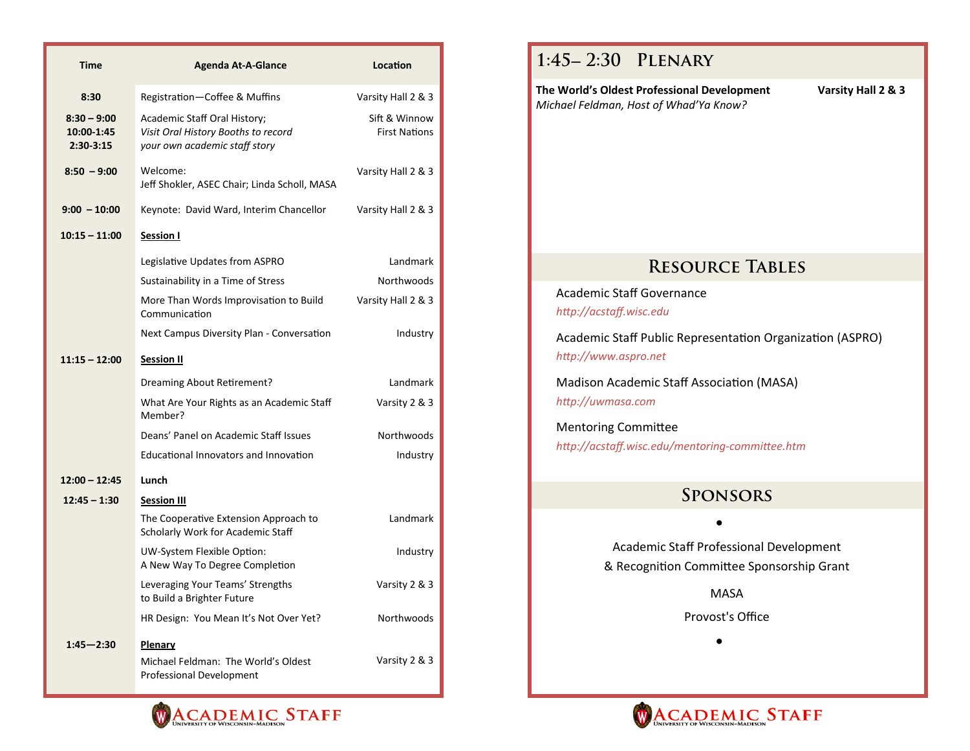| <b>Time</b>                                | <b>Agenda At-A-Glance</b>                                                                            | Location                              |
|--------------------------------------------|------------------------------------------------------------------------------------------------------|---------------------------------------|
| 8:30                                       | Registration-Coffee & Muffins                                                                        | Varsity Hall 2 & 3                    |
| $8:30 - 9:00$<br>10:00-1:45<br>$2:30-3:15$ | Academic Staff Oral History;<br>Visit Oral History Booths to record<br>your own academic staff story | Sift & Winnow<br><b>First Nations</b> |
| $8:50 - 9:00$                              | Welcome:<br>Jeff Shokler, ASEC Chair; Linda Scholl, MASA                                             | Varsity Hall 2 & 3                    |
| $9:00 - 10:00$                             | Keynote: David Ward, Interim Chancellor                                                              | Varsity Hall 2 & 3                    |
| $10:15 - 11:00$                            | <b>Session I</b>                                                                                     |                                       |
|                                            | Legislative Updates from ASPRO                                                                       | Landmark                              |
|                                            | Sustainability in a Time of Stress                                                                   | Northwoods                            |
|                                            | More Than Words Improvisation to Build<br>Communication                                              | Varsity Hall 2 & 3                    |
|                                            | Next Campus Diversity Plan - Conversation                                                            | Industry                              |
| $11:15 - 12:00$                            | <b>Session II</b>                                                                                    |                                       |
|                                            | Dreaming About Retirement?                                                                           | Landmark                              |
|                                            | What Are Your Rights as an Academic Staff<br>Member?                                                 | Varsity 2 & 3                         |
|                                            | Deans' Panel on Academic Staff Issues                                                                | Northwoods                            |
|                                            | Educational Innovators and Innovation                                                                | Industry                              |
| $12:00 - 12:45$                            | Lunch                                                                                                |                                       |
| $12:45 - 1:30$                             | <b>Session III</b>                                                                                   |                                       |
|                                            | The Cooperative Extension Approach to<br>Scholarly Work for Academic Staff                           | Landmark                              |
|                                            | UW-System Flexible Option:<br>A New Way To Degree Completion                                         | Industry                              |
|                                            | Leveraging Your Teams' Strengths<br>to Build a Brighter Future                                       | Varsity 2 & 3                         |
|                                            | HR Design: You Mean It's Not Over Yet?                                                               | Northwoods                            |
| $1:45 - 2:30$                              | Plenary<br>Michael Feldman: The World's Oldest<br>Professional Development                           | Varsity 2 & 3                         |



MASA

Provost's Office

 $\bullet$ 



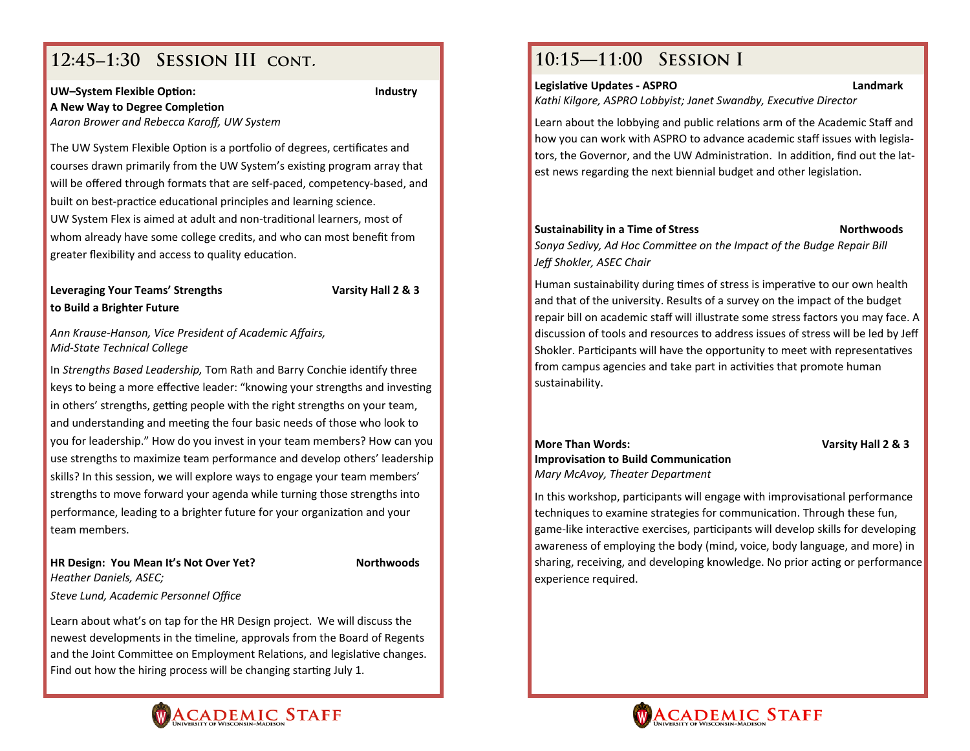# **12:451:30 Session III cont.**

### **UW–System Flexible OpƟon: Industry A New Way to Degree CompleƟon**

*Aaron Brower and Rebecca Karoff, UW System*

The UW System Flexible Option is a portfolio of degrees, certificates and courses drawn primarily from the UW System's existing program array that will be <sup>o</sup>ffered through formats that are self‐paced, competency‐based, and built on best-practice educational principles and learning science. UW System Flex is aimed at adult and non-traditional learners, most of whom already have some college credits, and who can most benefit from greater flexibility and access to quality education.

### **Leveraging Your Teams' Strengths Varsity Hall 2 & 3 to Build <sup>a</sup> Brighter Future**

*Ann Krause‐Hanson, Vice President of Academic Affairs, Mid‐State Technical College*

In *Strengths Based Leadership,* Tom Rath and Barry Conchie idenƟfy three keys to being a more effective leader: "knowing your strengths and investing in others' strengths, getting people with the right strengths on your team, and understanding and meeting the four basic needs of those who look to you for leadership." How do you invest in your team members? How can you use strengths to maximize team performance and develop others' leadership skills? In this session, we will explore ways to engage your team members' strengths to move forward your agenda while turning those strengths into performance, leading to a brighter future for your organization and your team members.

### **HR Design: You Mean It's Not Over Yet? Northwoods**

*Steve Lund, Academic Personnel Office*

*Heather Daniels, ASEC;*

Learn about what's on tap for the HR Design project. We will discuss the newest developments in the timeline, approvals from the Board of Regents and the Joint Committee on Employment Relations, and legislative changes. Find out how the hiring process will be changing starting July 1.

# **10:15—11:00 Session I**

#### **LegislaƟve Updates ‐ ASPRO Landmark**

*Kathi Kilgore, ASPRO Lobbyist; Janet Swandby, ExecuƟve Director*

Learn about the lobbying and public relations arm of the Academic Staff and how you can work with ASPRO to advance academic staff issues with legisla‐ tors, the Governor, and the UW Administration. In addition, find out the latest news regarding the next biennial budget and other legislation.

### **Sustainability in <sup>a</sup> Time of Stress Northwoods**

*Sonya Sedivy, Ad Hoc CommiƩee on the Impact of the Budge Repair Bill Jeff Shokler, ASEC Chair*

Human sustainability during times of stress is imperative to our own health and that of the university. Results of <sup>a</sup> survey on the impact of the budget repair bill on academic staff will illustrate some stress factors you may face. A discussion of tools and resources to address issues of stress will be led by Jeff Shokler. Participants will have the opportunity to meet with representatives from campus agencies and take part in activities that promote human sustainability.

#### **More ThanImprovisation to Build Communication** *Mary McAvoy, Theater Department*

**Words: Varsity Hall 2 & 3**

In this workshop, participants will engage with improvisational performance techniques to examine strategies for communication. Through these fun, game-like interactive exercises, participants will develop skills for developing awareness of employing the body (mind, voice, body language, and more) in sharing, receiving, and developing knowledge. No prior acting or performance experience required.